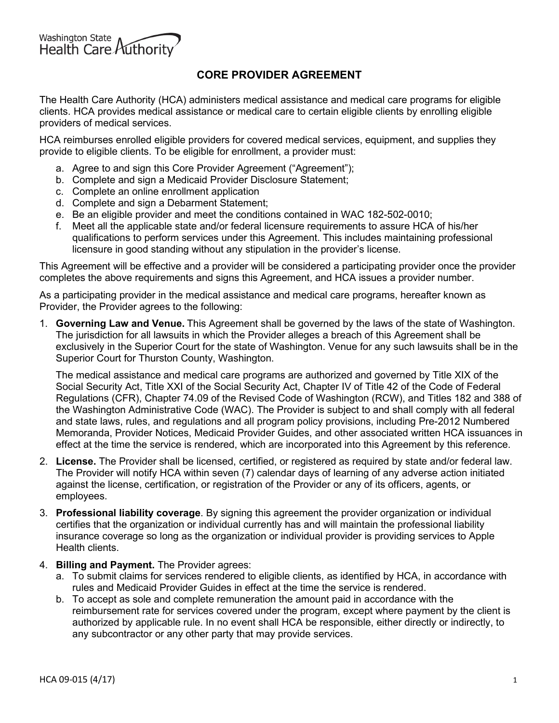

## **CORE PROVIDER AGREEMENT**

The Health Care Authority (HCA) administers medical assistance and medical care programs for eligible clients. HCA provides medical assistance or medical care to certain eligible clients by enrolling eligible providers of medical services.

HCA reimburses enrolled eligible providers for covered medical services, equipment, and supplies they provide to eligible clients. To be eligible for enrollment, a provider must:

- a. Agree to and sign this Core Provider Agreement ("Agreement");
- b. Complete and sign a Medicaid Provider Disclosure Statement;
- c. Complete an online enrollment application
- d. Complete and sign a Debarment Statement;
- e. Be an eligible provider and meet the conditions contained in WAC 182-502-0010;
- f. Meet all the applicable state and/or federal licensure requirements to assure HCA of his/her qualifications to perform services under this Agreement. This includes maintaining professional licensure in good standing without any stipulation in the provider's license.

This Agreement will be effective and a provider will be considered a participating provider once the provider completes the above requirements and signs this Agreement, and HCA issues a provider number.

As a participating provider in the medical assistance and medical care programs, hereafter known as Provider, the Provider agrees to the following:

1. **Governing Law and Venue.** This Agreement shall be governed by the laws of the state of Washington. The jurisdiction for all lawsuits in which the Provider alleges a breach of this Agreement shall be exclusively in the Superior Court for the state of Washington. Venue for any such lawsuits shall be in the Superior Court for Thurston County, Washington.

The medical assistance and medical care programs are authorized and governed by Title XIX of the Social Security Act, Title XXI of the Social Security Act, Chapter IV of Title 42 of the Code of Federal Regulations (CFR), Chapter 74.09 of the Revised Code of Washington (RCW), and Titles 182 and 388 of the Washington Administrative Code (WAC). The Provider is subject to and shall comply with all federal and state laws, rules, and regulations and all program policy provisions, including Pre-2012 Numbered Memoranda, Provider Notices, Medicaid Provider Guides, and other associated written HCA issuances in effect at the time the service is rendered, which are incorporated into this Agreement by this reference.

- 2. **License.** The Provider shall be licensed, certified, or registered as required by state and/or federal law. The Provider will notify HCA within seven (7) calendar days of learning of any adverse action initiated against the license, certification, or registration of the Provider or any of its officers, agents, or employees.
- 3. **Professional liability coverage**. By signing this agreement the provider organization or individual certifies that the organization or individual currently has and will maintain the professional liability insurance coverage so long as the organization or individual provider is providing services to Apple Health clients.
- 4. **Billing and Payment.** The Provider agrees:
	- a. To submit claims for services rendered to eligible clients, as identified by HCA, in accordance with rules and Medicaid Provider Guides in effect at the time the service is rendered.
	- b. To accept as sole and complete remuneration the amount paid in accordance with the reimbursement rate for services covered under the program, except where payment by the client is authorized by applicable rule. In no event shall HCA be responsible, either directly or indirectly, to any subcontractor or any other party that may provide services.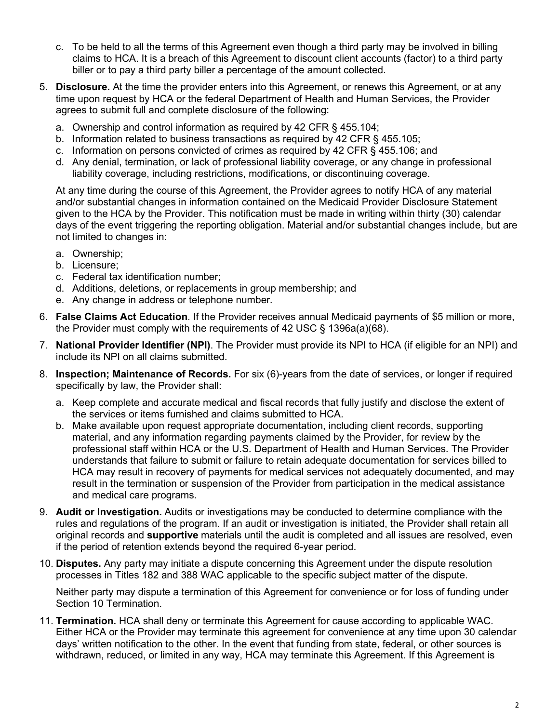- c. To be held to all the terms of this Agreement even though a third party may be involved in billing claims to HCA. It is a breach of this Agreement to discount client accounts (factor) to a third party biller or to pay a third party biller a percentage of the amount collected.
- 5. **Disclosure.** At the time the provider enters into this Agreement, or renews this Agreement, or at any time upon request by HCA or the federal Department of Health and Human Services, the Provider agrees to submit full and complete disclosure of the following:
	- a. Ownership and control information as required by 42 CFR § 455.104;
	- b. Information related to business transactions as required by 42 CFR § 455.105;
	- c. Information on persons convicted of crimes as required by 42 CFR § 455.106; and
	- d. Any denial, termination, or lack of professional liability coverage, or any change in professional liability coverage, including restrictions, modifications, or discontinuing coverage.

At any time during the course of this Agreement, the Provider agrees to notify HCA of any material and/or substantial changes in information contained on the Medicaid Provider Disclosure Statement given to the HCA by the Provider. This notification must be made in writing within thirty (30) calendar days of the event triggering the reporting obligation. Material and/or substantial changes include, but are not limited to changes in:

- a. Ownership;
- b. Licensure;
- c. Federal tax identification number;
- d. Additions, deletions, or replacements in group membership; and
- e. Any change in address or telephone number.
- 6. **False Claims Act Education**. If the Provider receives annual Medicaid payments of \$5 million or more, the Provider must comply with the requirements of 42 USC § 1396a(a)(68).
- 7. **National Provider Identifier (NPI)**. The Provider must provide its NPI to HCA (if eligible for an NPI) and include its NPI on all claims submitted.
- 8. **Inspection; Maintenance of Records.** For six (6)-years from the date of services, or longer if required specifically by law, the Provider shall:
	- a. Keep complete and accurate medical and fiscal records that fully justify and disclose the extent of the services or items furnished and claims submitted to HCA.
	- b. Make available upon request appropriate documentation, including client records, supporting material, and any information regarding payments claimed by the Provider, for review by the professional staff within HCA or the U.S. Department of Health and Human Services. The Provider understands that failure to submit or failure to retain adequate documentation for services billed to HCA may result in recovery of payments for medical services not adequately documented, and may result in the termination or suspension of the Provider from participation in the medical assistance and medical care programs.
- 9. **Audit or Investigation.** Audits or investigations may be conducted to determine compliance with the rules and regulations of the program. If an audit or investigation is initiated, the Provider shall retain all original records and **supportive** materials until the audit is completed and all issues are resolved, even if the period of retention extends beyond the required 6-year period.
- 10. **Disputes.** Any party may initiate a dispute concerning this Agreement under the dispute resolution processes in Titles 182 and 388 WAC applicable to the specific subject matter of the dispute.

Neither party may dispute a termination of this Agreement for convenience or for loss of funding under Section 10 Termination.

11. **Termination.** HCA shall deny or terminate this Agreement for cause according to applicable WAC. Either HCA or the Provider may terminate this agreement for convenience at any time upon 30 calendar days' written notification to the other. In the event that funding from state, federal, or other sources is withdrawn, reduced, or limited in any way, HCA may terminate this Agreement. If this Agreement is